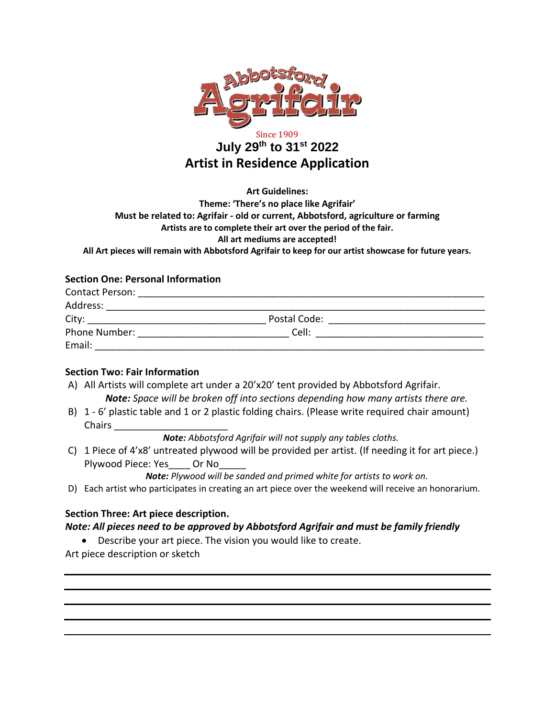

# Since 1909 **July 29th to 31st 2022 Artist in Residence Application**

**Art Guidelines:**

**Theme: 'There's no place like Agrifair' Must be related to: Agrifair - old or current, Abbotsford, agriculture or farming Artists are to complete their art over the period of the fair. All art mediums are accepted! All Art pieces will remain with Abbotsford Agrifair to keep for our artist showcase for future years.** 

## **Section One: Personal Information**

| <b>Contact Person:</b> |              |  |
|------------------------|--------------|--|
| Address:               |              |  |
| City:                  | Postal Code: |  |
| Phone Number:          | Cell:        |  |
| Email:                 |              |  |

#### **Section Two: Fair Information**

- A) All Artists will complete art under a 20'x20' tent provided by Abbotsford Agrifair. *Note: Space will be broken off into sections depending how many artists there are.*
- B) 1 6' plastic table and 1 or 2 plastic folding chairs. (Please write required chair amount) Chairs **and Chairs**

*Note: Abbotsford Agrifair will not supply any tables cloths.* 

C) 1 Piece of 4'x8' untreated plywood will be provided per artist. (If needing it for art piece.) Plywood Piece: Yes Or No

*Note: Plywood will be sanded and primed white for artists to work on.*

D) Each artist who participates in creating an art piece over the weekend will receive an honorarium.

## **Section Three: Art piece description.**

#### *Note: All pieces need to be approved by Abbotsford Agrifair and must be family friendly*

• Describe your art piece. The vision you would like to create.

Art piece description or sketch